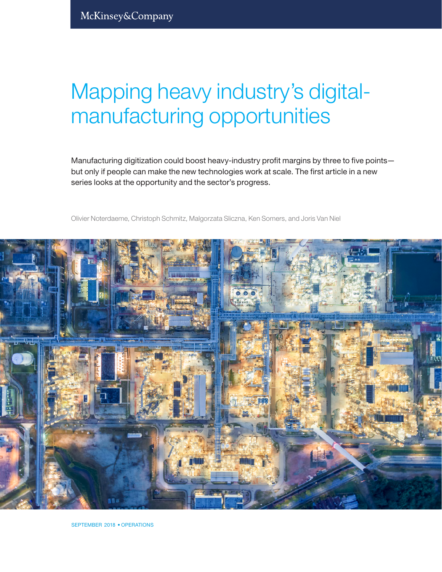# Mapping heavy industry's digitalmanufacturing opportunities

Manufacturing digitization could boost heavy-industry profit margins by three to five points but only if people can make the new technologies work at scale. The first article in a new series looks at the opportunity and the sector's progress.

Olivier Noterdaeme, Christoph Schmitz, Malgorzata Sliczna, Ken Somers, and Joris Van Niel



SEPTEMBER 2018 • OPERATIONS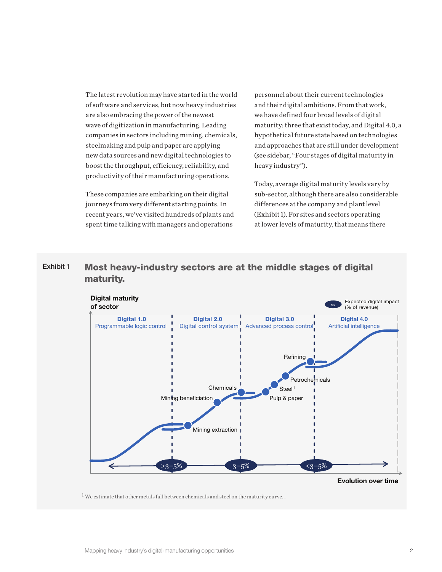The latest revolution may have started in the world of software and services, but now heavy industries are also embracing the power of the newest wave of digitization in manufacturing. Leading companies in sectors including mining, chemicals, steelmaking and pulp and paper are applying new data sources and new digital technologies to boost the throughput, efficiency, reliability, and productivity of their manufacturing operations.

These companies are embarking on their digital journeys from very different starting points. In recent years, we've visited hundreds of plants and spent time talking with managers and operations

personnel about their current technologies and their digital ambitions. From that work, we have defined four broad levels of digital maturity: three that exist today, and Digital 4.0, a hypothetical future state based on technologies and approaches that are still under development (see sidebar, "Four stages of digital maturity in heavy industry").

Today, average digital maturity levels vary by sub-sector, although there are also considerable differences at the company and plant level (Exhibit 1). For sites and sectors operating at lower levels of maturity, that means there

### Exhibit 1 Most heavy-industry sectors are at the middle stages of digital maturity.



 $1$  We estimate that other metals fall between chemicals and steel on the maturity curve..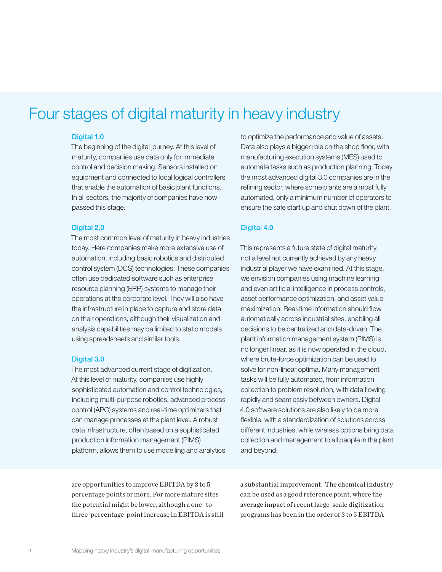# Four stages of digital maturity in heavy industry

#### Digital 1.0

The beginning of the digital journey. At this level of maturity, companies use data only for immediate control and decision making. Sensors installed on equipment and connected to local logical controllers that enable the automation of basic plant functions. In all sectors, the majority of companies have now passed this stage.

#### Digital 2.0

The most common level of maturity in heavy industries today. Here companies make more extensive use of automation, including basic robotics and distributed control system (DCS) technologies. These companies often use dedicated software such as enterprise resource planning (ERP) systems to manage their operations at the corporate level. They will also have the infrastructure in place to capture and store data on their operations, although their visualization and analysis capabilities may be limited to static models using spreadsheets and similar tools.

#### Digital 3.0

The most advanced current stage of digitization. At this level of maturity, companies use highly sophisticated automation and control technologies, including multi-purpose robotics, advanced process control (APC) systems and real-time optimizers that can manage processes at the plant level. A robust data infrastructure, often based on a sophisticated production information management (PIMS) platform, allows them to use modelling and analytics to optimize the performance and value of assets. Data also plays a bigger role on the shop floor, with manufacturing execution systems (MES) used to automate tasks such as production planning. Today the most advanced digital 3.0 companies are in the refining sector, where some plants are almost fully automated, only a minimum number of operators to ensure the safe start up and shut down of the plant.

#### Digital 4.0

This represents a future state of digital maturity, not a level not currently achieved by any heavy industrial player we have examined. At this stage, we envision companies using machine learning and even artificial intelligence in process controls, asset performance optimization, and asset value maximization. Real-time information should flow automatically across industrial sites, enabling all decisions to be centralized and data-driven. The plant information management system (PIMS) is no longer linear, as it is now operated in the cloud, where brute-force optimization can be used to solve for non-linear optima. Many management tasks will be fully automated, from information collection to problem resolution, with data flowing rapidly and seamlessly between owners. Digital 4.0 software solutions are also likely to be more flexible, with a standardization of solutions across different industries, while wireless options bring data collection and management to all people in the plant and beyond.

are opportunities to improve EBITDA by 3 to 5 percentage points or more. For more mature sites the potential might be lower, although a one- to three-percentage-point increase in EBITDA is still a substantial improvement. The chemical industry can be used as a good reference point, where the average impact of recent large-scale digitization programs has been in the order of 3 to 5 EBITDA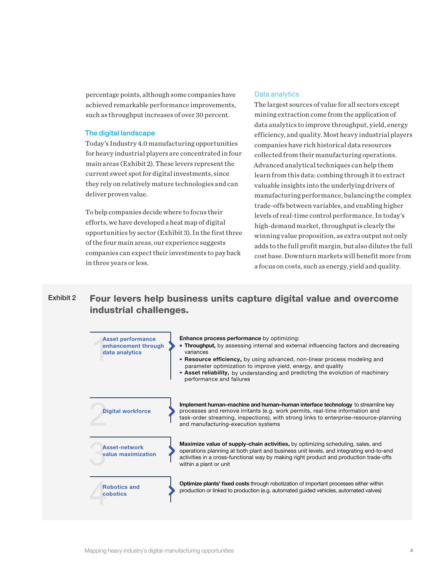percentage points, although some companies have achieved remarkable performance improvements, such as throughput increases of over 30 percent.

#### The digital landscape

Today's Industry 4.0 manufacturing opportunities for heavy industrial players are concentrated in four main areas (Exhibit 2). These levers represent the current sweet spot for digital investments, since they rely on relatively mature technologies and can deliver proven value.

To help companies decide where to focus their efforts, we have developed a heat map of digital opportunities by sector (Exhibit 3). In the first three of the four main areas, our experience suggests companies can expect their investments to pay back in three years or less.

#### Data analytics

The largest sources of value for all sectors except mining extraction come from the application of data analytics to improve throughput, yield, energy efficiency, and quality. Most heavy industrial players companies have rich historical data resources collected from their manufacturing operations. Advanced analytical techniques can help them learn from this data: combing through it to extract valuable insights into the underlying drivers of manufacturing performance, balancing the complex trade-offs between variables, and enabling higher levels of real-time control performance. In today's high-demand market, throughput is clearly the winning value proposition, as extra output not only adds to the full profit margin, but also dilutes the full cost base. Downturn markets will benefit more from a focus on costs, such as energy, yield and quality.

## Exhibit 2 Four levers help business units capture digital value and overcome industrial challenges.

| <b>Asset performance</b><br>enhancement through<br>data analytics | <b>Enhance process performance by optimizing:</b><br><b>Throughput,</b> by assessing internal and external influencing factors and decreasing<br>variances<br><b>• Resource efficiency,</b> by using advanced, non-linear process modeling and<br>parameter optimization to improve yield, energy, and quality<br><b>Asset reliability,</b> by understanding and predicting the evolution of machinery<br>performance and failures |
|-------------------------------------------------------------------|------------------------------------------------------------------------------------------------------------------------------------------------------------------------------------------------------------------------------------------------------------------------------------------------------------------------------------------------------------------------------------------------------------------------------------|
| <b>Digital workforce</b>                                          | Implement human–machine and human–human interface technology to streamline key<br>processes and remove irritants (e.g. work permits, real-time information and<br>task-order streaming, inspections), with strong links to enterprise-resource-planning<br>and manufacturing-execution systems                                                                                                                                     |
| <b>Asset-network</b><br>value maximization                        | <b>Maximize value of supply-chain activities, by optimizing scheduling, sales, and</b><br>operations planning at both plant and business unit levels, and integrating end-to-end<br>activities in a cross-functional way by making right product and production trade-offs<br>within a plant or unit                                                                                                                               |
| <b>Robotics and</b><br>cobotics                                   | <b>Optimize plants' fixed costs</b> through robotization of important processes either within<br>production or linked to production (e.g. automated guided vehicles, automated valves)                                                                                                                                                                                                                                             |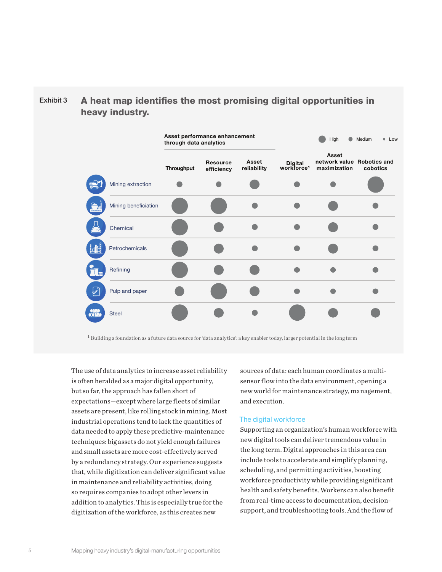# $Exhibit 3$  A heat map identifies the most promising digital opportunities in heavy industry.



 $1$  Building a foundation as a future data source for 'data analytics': a key enabler today, larger potential in the long term

The use of data analytics to increase asset reliability is often heralded as a major digital opportunity, but so far, the approach has fallen short of expectations—except where large fleets of similar assets are present, like rolling stock in mining. Most industrial operations tend to lack the quantities of data needed to apply these predictive-maintenance techniques: big assets do not yield enough failures and small assets are more cost-effectively served by a redundancy strategy. Our experience suggests that, while digitization can deliver significant value in maintenance and reliability activities, doing so requires companies to adopt other levers in addition to analytics. This is especially true for the digitization of the workforce, as this creates new

sources of data: each human coordinates a multisensor flow into the data environment, opening a new world for maintenance strategy, management, and execution.

#### The digital workforce

Supporting an organization's human workforce with new digital tools can deliver tremendous value in the long term. Digital approaches in this area can include tools to accelerate and simplify planning, scheduling, and permitting activities, boosting workforce productivity while providing significant health and safety benefits. Workers can also benefit from real-time access to documentation, decisionsupport, and troubleshooting tools. And the flow of